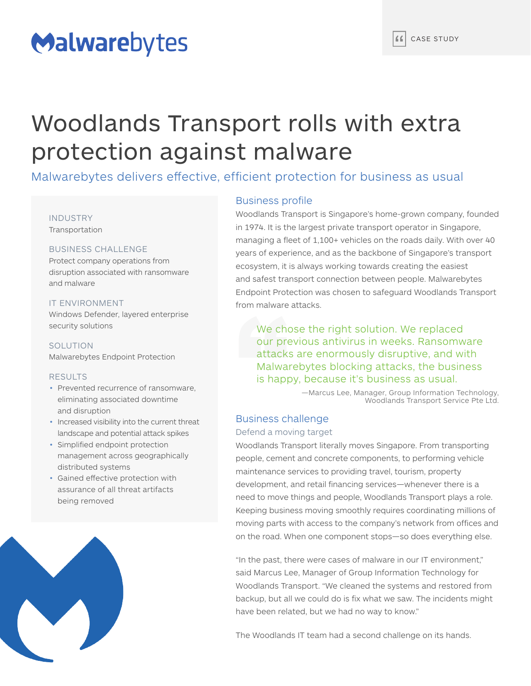# Malwarebytes

# Woodlands Transport rolls with extra protection against malware

Malwarebytes delivers effective, efficient protection for business as usual

## INDUSTRY Transportation

## BUSINESS CHALLENGE

Protect company operations from disruption associated with ransomware and malware

# IT ENVIRONMENT

Windows Defender, layered enterprise security solutions

SOLUTION Malwarebytes Endpoint Protection

## RESULTS

- Prevented recurrence of ransomware. eliminating associated downtime and disruption
- Increased visibility into the current threat landscape and potential attack spikes
- Simplified endpoint protection management across geographically distributed systems
- Gained effective protection with assurance of all threat artifacts being removed



# Business profile

Woodlands Transport is Singapore's home-grown company, founded in 1974. It is the largest private transport operator in Singapore, managing a fleet of 1,100+ vehicles on the roads daily. With over 40 years of experience, and as the backbone of Singapore's transport ecosystem, it is always working towards creating the easiest and safest transport connection between people. Malwarebytes Endpoint Protection was chosen to safeguard Woodlands Transport from malware attacks.

We chose the right solution. We replaced our previous antivirus in weeks. Ransomware attacks are enormously disruptive, and with Malwarebytes blocking attacks, the business is happy, because it's business as usual.

> —Marcus Lee, Manager, Group Information Technology, Woodlands Transport Service Pte Ltd.

# Business challenge

# Defend a moving target

Woodlands Transport literally moves Singapore. From transporting people, cement and concrete components, to performing vehicle maintenance services to providing travel, tourism, property development, and retail financing services—whenever there is a need to move things and people, Woodlands Transport plays a role. Keeping business moving smoothly requires coordinating millions of moving parts with access to the company's network from offices and on the road. When one component stops—so does everything else.

"In the past, there were cases of malware in our IT environment," said Marcus Lee, Manager of Group Information Technology for Woodlands Transport. "We cleaned the systems and restored from backup, but all we could do is fix what we saw. The incidents might have been related, but we had no way to know."

The Woodlands IT team had a second challenge on its hands.